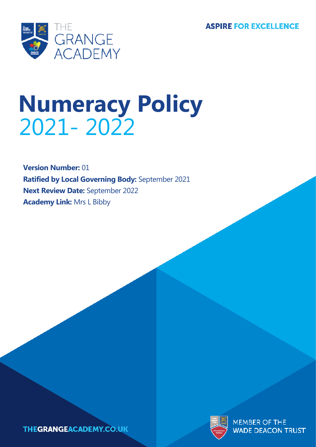**ASPIRE FOR EXCELLENCE** 



# **Numeracy Policy** 2021- 2022

**Version Number:** 01 **Ratified by Local Governing Body:** September 2021 **Next Review Date:** September 2022 **Academy Link:** Mrs L Bibby

**THEGRANGEACADEMY.CO.UK** 



**MEMBER OF THE WADE DEACON TRUST**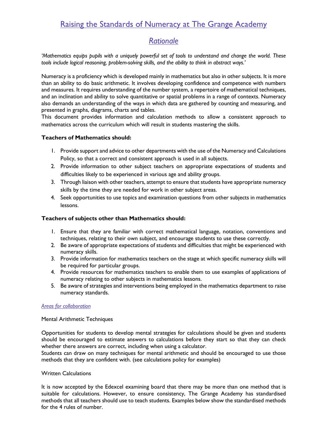# Raising the Standards of Numeracy at The Grange Academy

# *Rationale*

*'Mathematics equips pupils with a uniquely powerful set of tools to understand and change the world. These tools include logical reasoning, problem-solving skills, and the ability to think in abstract ways.'*

Numeracy is a proficiency which is developed mainly in mathematics but also in other subjects. It is more than an ability to do basic arithmetic. It involves developing confidence and competence with numbers and measures. It requires understanding of the number system, a repertoire of mathematical techniques, and an inclination and ability to solve quantitative or spatial problems in a range of contexts. Numeracy also demands an understanding of the ways in which data are gathered by counting and measuring, and presented in graphs, diagrams, charts and tables.

This document provides information and calculation methods to allow a consistent approach to mathematics across the curriculum which will result in students mastering the skills.

# **Teachers of Mathematics should:**

- 1. Provide support and advice to other departments with the use of the Numeracy and Calculations Policy, so that a correct and consistent approach is used in all subjects.
- 2. Provide information to other subject teachers on appropriate expectations of students and difficulties likely to be experienced in various age and ability groups.
- 3. Through liaison with other teachers, attempt to ensure that students have appropriate numeracy skills by the time they are needed for work in other subject areas.
- 4. Seek opportunities to use topics and examination questions from other subjects in mathematics lessons.

# **Teachers of subjects other than Mathematics should:**

- 1. Ensure that they are familiar with correct mathematical language, notation, conventions and techniques, relating to their own subject, and encourage students to use these correctly.
- 2. Be aware of appropriate expectations of students and difficulties that might be experienced with numeracy skills.
- 3. Provide information for mathematics teachers on the stage at which specific numeracy skills will be required for particular groups.
- 4. Provide resources for mathematics teachers to enable them to use examples of applications of numeracy relating to other subjects in mathematics lessons.
- 5. Be aware of strategies and interventions being employed in the mathematics department to raise numeracy standards.

## *Areas for collaboration*

## Mental Arithmetic Techniques

Opportunities for students to develop mental strategies for calculations should be given and students should be encouraged to estimate answers to calculations before they start so that they can check whether there answers are correct, including when using a calculator.

Students can draw on many techniques for mental arithmetic and should be encouraged to use those methods that they are confident with. (see calculations policy for examples)

# Written Calculations

It is now accepted by the Edexcel examining board that there may be more than one method that is suitable for calculations. However, to ensure consistency, The Grange Academy has standardised methods that all teachers should use to teach students. Examples below show the standardised methods for the 4 rules of number.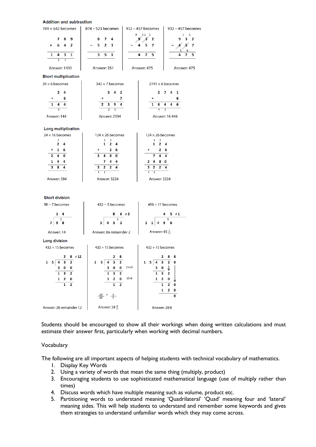#### Andeltation and automobiles

| Addition and subtraction                                        |                                                                 |                                                            |                                    |
|-----------------------------------------------------------------|-----------------------------------------------------------------|------------------------------------------------------------|------------------------------------|
| $789 + 642$ becomes                                             | 874 - 523 becomes                                               | 932 - 457 becomes                                          | $932 - 457$ becomes                |
| 7<br>8<br>9                                                     | 8<br>7<br>4                                                     | 8<br>12 1<br>g<br>Х<br>$\overline{2}$                      | 1<br>1<br>3<br>$\overline{2}$<br>9 |
| 6<br>4<br>$\overline{2}$<br>$\ddot{}$                           | 2<br>5<br>3                                                     | 7<br>5                                                     | 7<br>5<br>6                        |
| 4<br>3<br>$\mathbf{1}$<br>1<br>$\overline{1}$<br>$\overline{1}$ | 5<br>3<br>$\mathbf{1}$                                          | $\overline{ }$<br>5<br>4                                   | 7<br>5<br>4                        |
| Answer: 1431                                                    | Answer: 351                                                     | Answer: 475                                                | Answer: 475                        |
| <b>Short multiplication</b>                                     |                                                                 |                                                            |                                    |
| $24 \times 6$ becomes                                           | $342 \times 7$ becomes                                          |                                                            | $2741 \times 6$ becomes            |
| $\mathbf{z}$<br>4                                               | 3<br>4<br>$\overline{2}$                                        | $\mathbf{2}$                                               | 7<br>4<br>$\mathbf{1}$             |
| 6<br>×                                                          | 7<br>×                                                          | ×                                                          | 6                                  |
| 1<br>4<br>4                                                     | 9<br>$\overline{2}$<br>3<br>4                                   | 6<br>$\mathbf{1}$                                          | 4<br>4<br>6                        |
| $\overline{2}$<br>Answer: 144                                   | $\overline{2}$<br>$\overline{1}$<br>Answer: 2394                | $\overline{4}$                                             | $\overline{2}$<br>Answer: 16 446   |
| Long multiplication                                             |                                                                 |                                                            |                                    |
| $24 \times 16$ becomes                                          | $124 \times 26$ becomes                                         | $124 \times 26$ becomes                                    |                                    |
| 2<br>$\overline{2}$<br>4                                        | 1<br>2<br>$\mathbf{1}$<br>$\overline{2}$<br>4                   | 1<br>2<br>$\mathbf{1}$<br>$\overline{2}$                   | 4                                  |
| $\mathbf{1}$<br>6<br>×                                          | $\overline{2}$<br>6<br>×                                        | 2<br>×                                                     | 6                                  |
| $\overline{2}$<br>4<br>0                                        | 8<br>$\overline{2}$<br>4<br>0                                   | 7<br>4                                                     | 4                                  |
| 1<br>4<br>4                                                     | 7<br>4<br>4                                                     | 8<br>4<br>2                                                | 0                                  |
| 3<br>8<br>4                                                     | 2<br>3<br>$\mathbf{2}$<br>4<br>$\overline{1}$<br>$\overline{1}$ | $\mathbf{2}$<br>3<br>2<br>$\overline{1}$<br>$\overline{1}$ | 4                                  |
| Answer: 384                                                     | Answer: 3224                                                    | Answer: 3224                                               |                                    |

#### **Short division**

| 98 ÷ 7 becomes | $432 \div 5$ becomes   | $496 \div 11$ becomes    |  |
|----------------|------------------------|--------------------------|--|
|                | 8 6 r 2                | 4 5 r 1                  |  |
|                | $4 \quad 3 \quad 2$    | $1 \t1 \t4 \t9 \t6$      |  |
| Answer: 14     | Answer: 86 remainder 2 | Answer: $45\frac{1}{11}$ |  |

Answer: 86 remainder 2

Answer: 14

**Long division** 

| $432 \div 15$ becomes                                                                                               | $432 \div 15$ becomes                                                                                                          | $432 \div 15$ becomes                                                                                       |
|---------------------------------------------------------------------------------------------------------------------|--------------------------------------------------------------------------------------------------------------------------------|-------------------------------------------------------------------------------------------------------------|
| 8r12<br>2<br>1<br>3<br>$\overline{2}$<br>5<br>0<br>0<br>3<br>1<br>2<br>2<br>0<br>1<br>1<br>$\overline{\phantom{a}}$ | - 8<br>2<br>$\overline{\mathbf{2}}$<br>3<br>1<br>5<br>4<br>$15\times20$<br>0<br>0<br>3<br>2<br>$15\times8$<br>0<br>1<br>2<br>2 | $8 \cdot 8$<br>2<br>1<br>$2 \cdot 0$<br>3<br>5<br>0<br>3<br>2<br>0<br>$\mathbf{1}$<br>2<br>2<br>0<br>1<br>2 |
|                                                                                                                     | $\frac{12}{15}$                                                                                                                |                                                                                                             |
| Answer: 28 remainder 12                                                                                             | Answer: 28 $\frac{4}{5}$                                                                                                       | Answer: 28-8                                                                                                |

Students should be encouraged to show all their workings when doing written calculations and must estimate their answer first, particularly when working with decimal numbers.

#### Vocabulary

The following are all important aspects of helping students with technical vocabulary of mathematics.

- 1. Display Key Words
- 2. Using a variety of words that mean the same thing (multiply, product)
- 3. Encouraging students to use sophisticated mathematical language (use of multiply rather than times)
- 4. Discuss words which have multiple meaning such as volume, product etc.
- 5. Partitioning words to understand meaning 'Quadrilateral' 'Quad' meaning four and 'lateral' meaning sides. This will help students to understand and remember some keywords and gives them strategies to understand unfamiliar words which they may come across.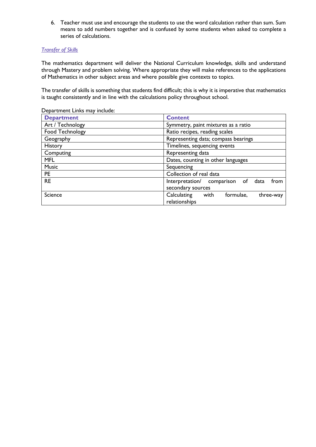6. Teacher must use and encourage the students to use the word calculation rather than sum. Sum means to add numbers together and is confused by some students when asked to complete a series of calculations.

# *Transfer of Skills*

The mathematics department will deliver the National Curriculum knowledge, skills and understand through Mastery and problem solving. Where appropriate they will make references to the applications of Mathematics in other subject areas and where possible give contexts to topics.

The transfer of skills is something that students find difficult; this is why it is imperative that mathematics is taught consistently and in line with the calculations policy throughout school.

| Department Links may include: |  |  |
|-------------------------------|--|--|
|                               |  |  |

| <b>Department</b> | <b>Content</b>                                                 |
|-------------------|----------------------------------------------------------------|
| Art / Technology  | Symmetry, paint mixtures as a ratio                            |
| Food Technology   | Ratio recipes, reading scales                                  |
| Geography         | Representing data; compass bearings                            |
| <b>History</b>    | Timelines, sequencing events                                   |
| Computing         | Representing data                                              |
| <b>MFL</b>        | Dates, counting in other languages                             |
| <b>Music</b>      | Sequencing                                                     |
| <b>PE</b>         | Collection of real data                                        |
| <b>RE</b>         | Interpretation/ comparison<br>of<br>from<br>data               |
|                   | secondary sources                                              |
| Science           | Calculating<br>with<br>formulae.<br>three-way<br>relationships |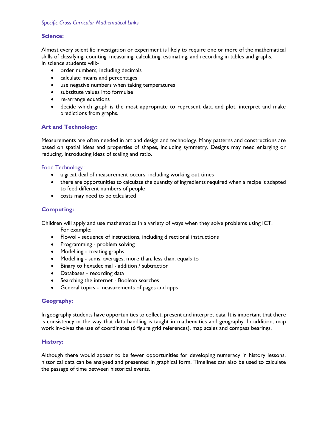# **Science:**

Almost every scientific investigation or experiment is likely to require one or more of the mathematical skills of classifying, counting, measuring, calculating, estimating, and recording in tables and graphs. In science students will:-

- order numbers, including decimals
- calculate means and percentages
- use negative numbers when taking temperatures
- substitute values into formulae
- re-arrange equations
- decide which graph is the most appropriate to represent data and plot, interpret and make predictions from graphs.

# **Art and Technology:**

Measurements are often needed in art and design and technology. Many patterns and constructions are based on spatial ideas and properties of shapes, including symmetry. Designs may need enlarging or reducing, introducing ideas of scaling and ratio.

## Food Technology :

- a great deal of measurement occurs, including working out times
- there are opportunities to calculate the quantity of ingredients required when a recipe is adapted to feed different numbers of people
- costs may need to be calculated

# **Computing:**

Children will apply and use mathematics in a variety of ways when they solve problems using ICT. For example:

- Flowol sequence of instructions, including directional instructions
- Programming problem solving
- Modelling creating graphs
- Modelling sums, averages, more than, less than, equals to
- Binary to hexadecimal addition / subtraction
- Databases recording data
- Searching the internet Boolean searches
- General topics measurements of pages and apps

# **Geography:**

In geography students have opportunities to collect, present and interpret data. It is important that there is consistency in the way that data handling is taught in mathematics and geography. In addition, map work involves the use of coordinates (6 figure grid references), map scales and compass bearings.

# **History:**

Although there would appear to be fewer opportunities for developing numeracy in history lessons, historical data can be analysed and presented in graphical form. Timelines can also be used to calculate the passage of time between historical events.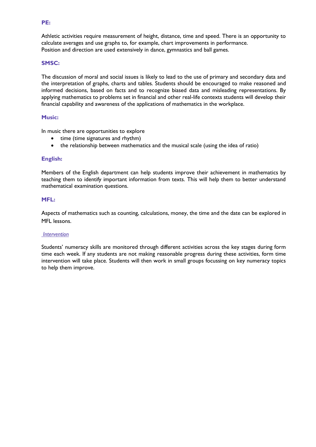# **SMSC:**

The discussion of moral and social issues is likely to lead to the use of primary and secondary data and the interpretation of graphs, charts and tables. Students should be encouraged to make reasoned and informed decisions, based on facts and to recognize biased data and misleading representations. By applying mathematics to problems set in financial and other real-life contexts students will develop their financial capability and awareness of the applications of mathematics in the workplace.

Athletic activities require measurement of height, distance, time and speed. There is an opportunity to

calculate averages and use graphs to, for example, chart improvements in performance.

Position and direction are used extensively in dance, gymnastics and ball games.

#### **Music:**

In music there are opportunities to explore

- time (time signatures and rhythm)
- the relationship between mathematics and the musical scale (using the idea of ratio)

#### **English:**

Members of the English department can help students improve their achievement in mathematics by teaching them to identify important information from texts. This will help them to better understand mathematical examination questions.

#### **MFL:**

Aspects of mathematics such as counting, calculations, money, the time and the date can be explored in MFL lessons.

#### *Intervention*

Students' numeracy skills are monitored through different activities across the key stages during form time each week. If any students are not making reasonable progress during these activities, form time intervention will take place. Students will then work in small groups focussing on key numeracy topics to help them improve.

#### **PE:**